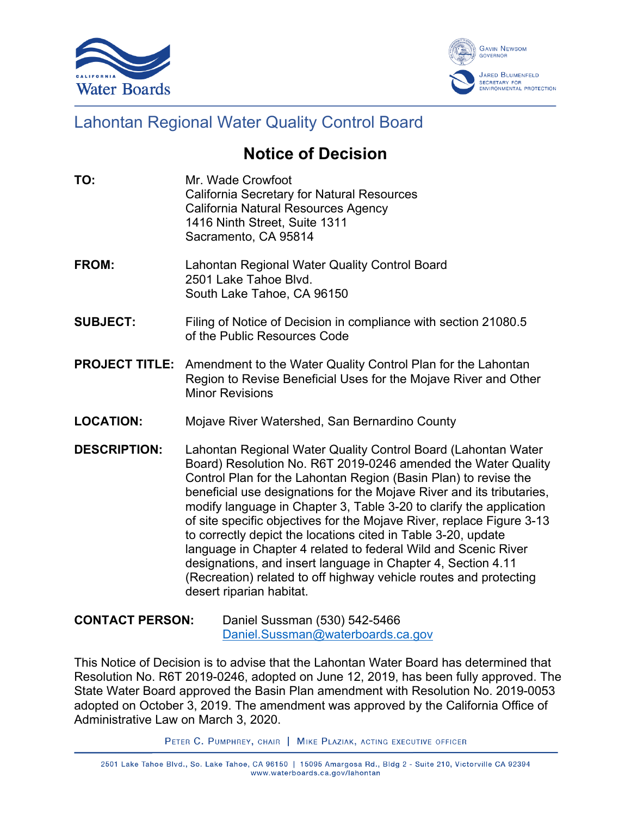



## Lahontan Regional Water Quality Control Board

## **Notice of Decision**

- **TO:** Mr. Wade Crowfoot California Secretary for Natural Resources California Natural Resources Agency 1416 Ninth Street, Suite 1311 Sacramento, CA 95814
- **FROM:** Lahontan Regional Water Quality Control Board 2501 Lake Tahoe Blvd. South Lake Tahoe, CA 96150
- **SUBJECT:** Filing of Notice of Decision in compliance with section 21080.5 of the Public Resources Code
- **PROJECT TITLE:** Amendment to the Water Quality Control Plan for the Lahontan Region to Revise Beneficial Uses for the Mojave River and Other Minor Revisions
- **LOCATION:** Mojave River Watershed, San Bernardino County
- **DESCRIPTION:** Lahontan Regional Water Quality Control Board (Lahontan Water Board) Resolution No. R6T 2019-0246 amended the Water Quality Control Plan for the Lahontan Region (Basin Plan) to revise the beneficial use designations for the Mojave River and its tributaries, modify language in Chapter 3, Table 3-20 to clarify the application of site specific objectives for the Mojave River, replace Figure 3-13 to correctly depict the locations cited in Table 3-20, update language in Chapter 4 related to federal Wild and Scenic River designations, and insert language in Chapter 4, Section 4.11 (Recreation) related to off highway vehicle routes and protecting desert riparian habitat.
- **CONTACT PERSON:** Daniel Sussman (530) 542-5466 [Daniel.Sussman@waterboards.ca.gov](mailto:Daniel.Sussman@waterboards.ca.gov)

This Notice of Decision is to advise that the Lahontan Water Board has determined that Resolution No. R6T 2019-0246, adopted on June 12, 2019, has been fully approved. The State Water Board approved the Basin Plan amendment with Resolution No. 2019-0053 adopted on October 3, 2019. The amendment was approved by the California Office of Administrative Law on March 3, 2020.

PETER C. PUMPHREY, CHAIR | MIKE PLAZIAK, ACTING EXECUTIVE OFFICER